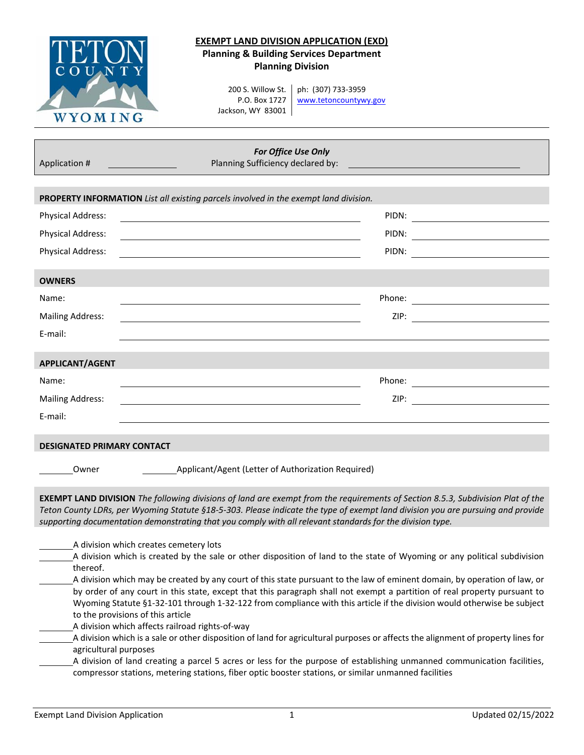

## **EXEMPT LAND DIVISION APPLICATION (EXD) Planning & Building Services Department Planning Division**

200 S. Willow St. P.O. Box 1727 Jackson, WY 83001

ph: (307) 733‐3959 www.tetoncountywy.gov

| Application #                                                                                                                                                                                                                                                                                                                                                                                                                             | For Office Use Only<br>Planning Sufficiency declared by: |
|-------------------------------------------------------------------------------------------------------------------------------------------------------------------------------------------------------------------------------------------------------------------------------------------------------------------------------------------------------------------------------------------------------------------------------------------|----------------------------------------------------------|
|                                                                                                                                                                                                                                                                                                                                                                                                                                           |                                                          |
| PROPERTY INFORMATION List all existing parcels involved in the exempt land division.                                                                                                                                                                                                                                                                                                                                                      |                                                          |
| <b>Physical Address:</b>                                                                                                                                                                                                                                                                                                                                                                                                                  |                                                          |
| <b>Physical Address:</b>                                                                                                                                                                                                                                                                                                                                                                                                                  |                                                          |
| <b>Physical Address:</b>                                                                                                                                                                                                                                                                                                                                                                                                                  | PIDN:                                                    |
| <b>OWNERS</b>                                                                                                                                                                                                                                                                                                                                                                                                                             |                                                          |
| Name:                                                                                                                                                                                                                                                                                                                                                                                                                                     |                                                          |
| <b>Mailing Address:</b>                                                                                                                                                                                                                                                                                                                                                                                                                   |                                                          |
| E-mail:                                                                                                                                                                                                                                                                                                                                                                                                                                   |                                                          |
| <b>APPLICANT/AGENT</b>                                                                                                                                                                                                                                                                                                                                                                                                                    |                                                          |
| Name:                                                                                                                                                                                                                                                                                                                                                                                                                                     |                                                          |
| <b>Mailing Address:</b>                                                                                                                                                                                                                                                                                                                                                                                                                   |                                                          |
| E-mail:                                                                                                                                                                                                                                                                                                                                                                                                                                   |                                                          |
| <b>DESIGNATED PRIMARY CONTACT</b>                                                                                                                                                                                                                                                                                                                                                                                                         |                                                          |
| Owner                                                                                                                                                                                                                                                                                                                                                                                                                                     | Applicant/Agent (Letter of Authorization Required)       |
| EXEMPT LAND DIVISION The following divisions of land are exempt from the requirements of Section 8.5.3, Subdivision Plat of the<br>Teton County LDRs, per Wyoming Statute §18-5-303. Please indicate the type of exempt land division you are pursuing and provide<br>supporting documentation demonstrating that you comply with all relevant standards for the division type.                                                           |                                                          |
| A division which creates cemetery lots<br>A division which is created by the sale or other disposition of land to the state of Wyoming or any political subdivision<br>thereof.<br>A division which may be created by any court of this state pursuant to the law of eminent domain, by operation of law, or<br>by order of any court in this state, except that this paragraph shall not exempt a partition of real property pursuant to |                                                          |
| Wyoming Statute §1-32-101 through 1-32-122 from compliance with this article if the division would otherwise be subject                                                                                                                                                                                                                                                                                                                   |                                                          |

- to the provisions of this article
- A division which affects railroad rights‐of‐way
- A division which is a sale or other disposition of land for agricultural purposes or affects the alignment of property lines for agricultural purposes
- A division of land creating a parcel 5 acres or less for the purpose of establishing unmanned communication facilities, compressor stations, metering stations, fiber optic booster stations, or similar unmanned facilities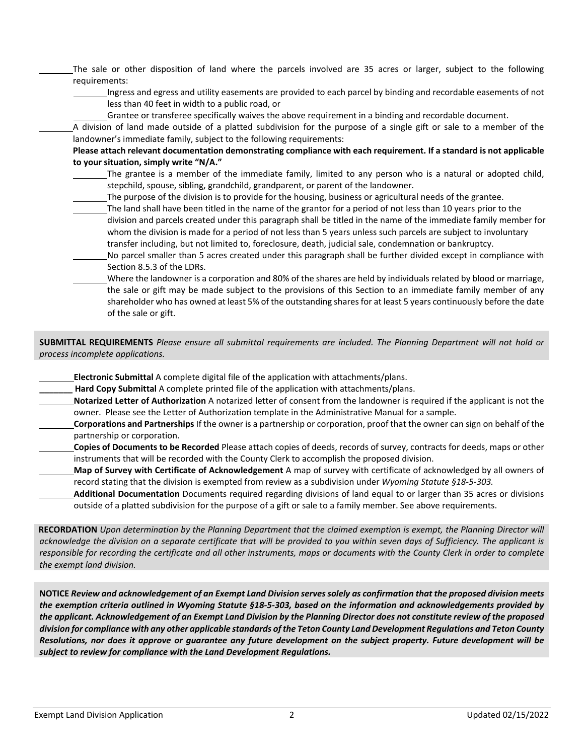The sale or other disposition of land where the parcels involved are 35 acres or larger, subject to the following requirements:

Ingress and egress and utility easements are provided to each parcel by binding and recordable easements of not less than 40 feet in width to a public road, or

Grantee or transferee specifically waives the above requirement in a binding and recordable document.

A division of land made outside of a platted subdivision for the purpose of a single gift or sale to a member of the landowner's immediate family, subject to the following requirements:

## **Please attach relevant documentation demonstrating compliance with each requirement. If a standard is not applicable to your situation, simply write "N/A."**

- The grantee is a member of the immediate family, limited to any person who is a natural or adopted child, stepchild, spouse, sibling, grandchild, grandparent, or parent of the landowner.
	- The purpose of the division is to provide for the housing, business or agricultural needs of the grantee.
- The land shall have been titled in the name of the grantor for a period of not less than 10 years prior to the division and parcels created under this paragraph shall be titled in the name of the immediate family member for whom the division is made for a period of not less than 5 years unless such parcels are subject to involuntary transfer including, but not limited to, foreclosure, death, judicial sale, condemnation or bankruptcy.
- No parcel smaller than 5 acres created under this paragraph shall be further divided except in compliance with Section 8.5.3 of the LDRs.
	- Where the landowner is a corporation and 80% of the shares are held by individuals related by blood or marriage, the sale or gift may be made subject to the provisions of this Section to an immediate family member of any shareholder who has owned at least 5% of the outstanding shares for at least 5 years continuously before the date of the sale or gift.

SUBMITTAL REQUIREMENTS Please ensure all submittal requirements are included. The Planning Department will not hold or *process incomplete applications.*

- **Electronic Submittal** A complete digital file of the application with attachments/plans.
	- **\_\_\_\_\_\_\_ Hard Copy Submittal** A complete printed file of the application with attachments/plans.
- **Notarized Letter of Authorization** A notarized letter of consent from the landowner is required if the applicant is not the owner. Please see the Letter of Authorization template in the Administrative Manual for a sample.
- **Corporations and Partnerships** If the owner is a partnership or corporation, proof that the owner can sign on behalf of the partnership or corporation.
- **Copies of Documents to be Recorded** Please attach copies of deeds, records of survey, contracts for deeds, maps or other instruments that will be recorded with the County Clerk to accomplish the proposed division.
- **Map of Survey with Certificate of Acknowledgement** A map of survey with certificate of acknowledged by all owners of record stating that the division is exempted from review as a subdivision under *Wyoming Statute §18‐5‐303.*
- **Additional Documentation** Documents required regarding divisions of land equal to or larger than 35 acres or divisions outside of a platted subdivision for the purpose of a gift or sale to a family member. See above requirements.

RECORDATION Upon determination by the Planning Department that the claimed exemption is exempt, the Planning Director will acknowledge the division on a separate certificate that will be provided to you within seven days of Sufficiency. The applicant is responsible for recording the certificate and all other instruments, maps or documents with the County Clerk in order to complete *the exempt land division.*

NOTICE Review and acknowledgement of an Exempt Land Division serves solely as confirmation that the proposed division meets the exemption criteria outlined in Wyoming Statute §18-5-303, based on the information and acknowledgements provided by the applicant. Acknowledgement of an Exempt Land Division by the Planning Director does not constitute review of the proposed division for compliance with any other applicable standards of the Teton County Land Development Regulations and Teton County Resolutions, nor does it approve or guarantee any future development on the subject property. Future development will be *subject to review for compliance with the Land Development Regulations.*